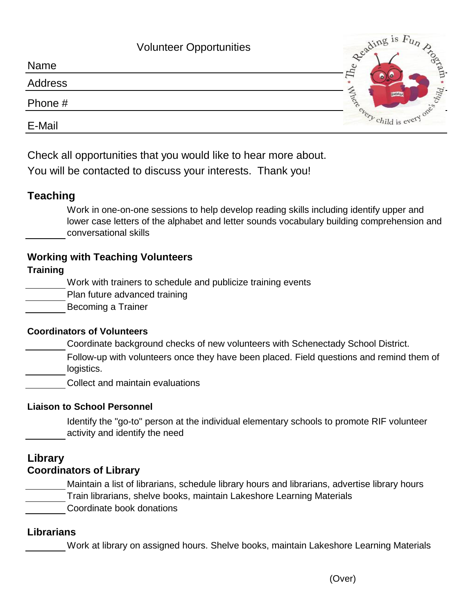|         | <b>Volunteer Opportunities</b> | geading is Fy.                   |
|---------|--------------------------------|----------------------------------|
| Name    |                                |                                  |
| Address |                                | $\Xi$<br>ild.                    |
| Phone # |                                | Bookway                          |
| E-Mail  |                                | $e_{\text{key}}$ child is $\sim$ |

Check all opportunities that you would like to hear more about.

You will be contacted to discuss your interests. Thank you!

# **Teaching**

Work in one-on-one sessions to help develop reading skills including identify upper and lower case letters of the alphabet and letter sounds vocabulary building comprehension and conversational skills

# **Working with Teaching Volunteers**

### **Training**

Work with trainers to schedule and publicize training events

Plan future advanced training

Becoming a Trainer

### **Coordinators of Volunteers**

Coordinate background checks of new volunteers with Schenectady School District.

Follow-up with volunteers once they have been placed. Field questions and remind them of logistics.

Collect and maintain evaluations

### **Liaison to School Personnel**

Identify the "go-to" person at the individual elementary schools to promote RIF volunteer activity and identify the need

### **Library Coordinators of Library**

Maintain a list of librarians, schedule library hours and librarians, advertise library hours Train librarians, shelve books, maintain Lakeshore Learning Materials Coordinate book donations

### **Librarians**

Work at library on assigned hours. Shelve books, maintain Lakeshore Learning Materials